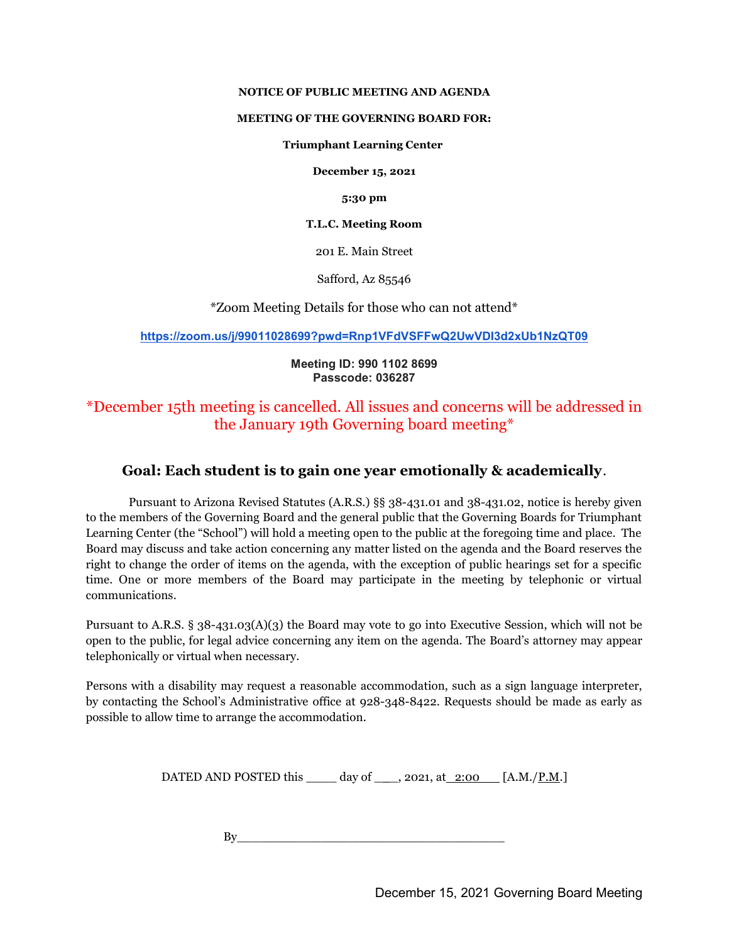### NOTICE OF PUBLIC MEETING AND AGENDA

#### MEETING OF THE GOVERNING BOARD FOR:

#### Triumphant Learning Center

December 15, 2021

5:30 pm

T.L.C. Meeting Room

201 E. Main Street

Safford, Az 85546

\*Zoom Meeting Details for those who can not attend\*

https://zoom.us/j/99011028699?pwd=Rnp1VFdVSFFwQ2UwVDI3d2xUb1NzQT09

## Meeting ID: 990 1102 8699 Passcode: 036287

# \*December 15th meeting is cancelled. All issues and concerns will be addressed in the January 19th Governing board meeting\*

## Goal: Each student is to gain one year emotionally & academically.

Pursuant to Arizona Revised Statutes (A.R.S.) §§ 38-431.01 and 38-431.02, notice is hereby given to the members of the Governing Board and the general public that the Governing Boards for Triumphant Learning Center (the "School") will hold a meeting open to the public at the foregoing time and place. The Board may discuss and take action concerning any matter listed on the agenda and the Board reserves the right to change the order of items on the agenda, with the exception of public hearings set for a specific time. One or more members of the Board may participate in the meeting by telephonic or virtual communications.

Pursuant to A.R.S. § 38-431.03(A)(3) the Board may vote to go into Executive Session, which will not be open to the public, for legal advice concerning any item on the agenda. The Board's attorney may appear telephonically or virtual when necessary.

Persons with a disability may request a reasonable accommodation, such as a sign language interpreter, by contacting the School's Administrative office at 928-348-8422. Requests should be made as early as possible to allow time to arrange the accommodation.

DATED AND POSTED this  $\_\_\_\_\$  day of  $\_\_\_\_$ , 2021, at  $\_\_\_\_\_\_\_\_\_\_\_\_$  [A.M./P.M.]

 $Bv$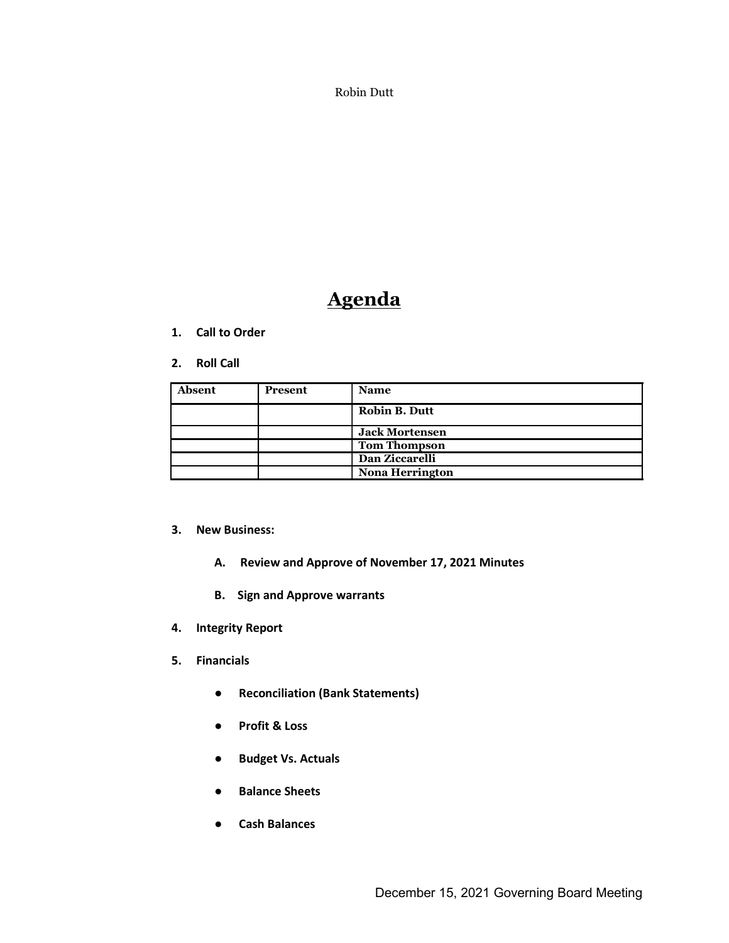Robin Dutt

# Agenda

- 1. Call to Order
- 2. Roll Call

| Absent | <b>Present</b> | <b>Name</b>            |
|--------|----------------|------------------------|
|        |                | <b>Robin B. Dutt</b>   |
|        |                | <b>Jack Mortensen</b>  |
|        |                | <b>Tom Thompson</b>    |
|        |                | Dan Ziccarelli         |
|        |                | <b>Nona Herrington</b> |

## 3. New Business:

- A. Review and Approve of November 17, 2021 Minutes
- B. Sign and Approve warrants
- 4. Integrity Report
- 5. Financials
	- Reconciliation (Bank Statements)
	- Profit & Loss
	- Budget Vs. Actuals
	- Balance Sheets
	- Cash Balances